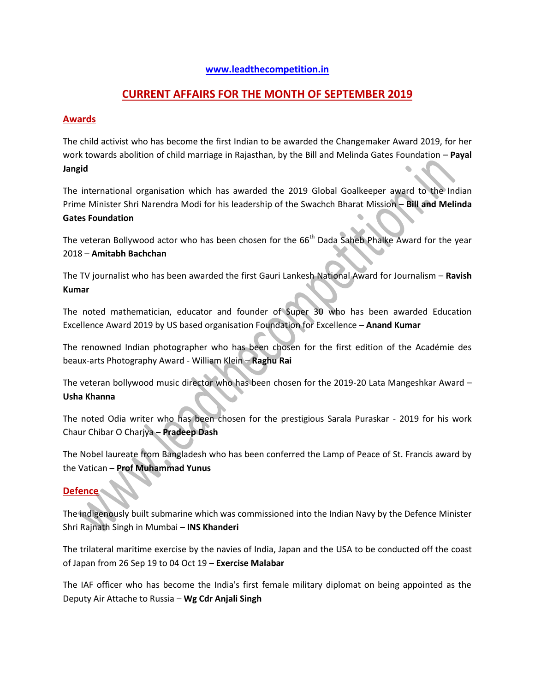## **[www.leadthecompetition.in](http://www.leadthecompetition.in/)**

## **CURRENT AFFAIRS FOR THE MONTH OF SEPTEMBER 2019**

## **Awards**

The child activist who has become the first Indian to be awarded the Changemaker Award 2019, for her work towards abolition of child marriage in Rajasthan, by the Bill and Melinda Gates Foundation – **Payal Jangid**

The international organisation which has awarded the 2019 Global Goalkeeper award to the Indian Prime Minister Shri Narendra Modi for his leadership of the Swachch Bharat Mission – **Bill and Melinda Gates Foundation**

The veteran Bollywood actor who has been chosen for the 66<sup>th</sup> Dada Saheb Phalke Award for the year 2018 – **Amitabh Bachchan**

The TV journalist who has been awarded the first Gauri Lankesh National Award for Journalism – **Ravish Kumar**

The noted mathematician, educator and founder of Super 30 who has been awarded Education Excellence Award 2019 by US based organisation Foundation for Excellence – **Anand Kumar**

The renowned Indian photographer who has been chosen for the first edition of the Académie des beaux-arts Photography Award - William Klein – **Raghu Rai**

The veteran bollywood music director who has been chosen for the 2019-20 Lata Mangeshkar Award – **Usha Khanna**

The noted Odia writer who has been chosen for the prestigious Sarala Puraskar - 2019 for his work Chaur Chibar O Charjya – **Pradeep Dash**

The Nobel laureate from Bangladesh who has been conferred the Lamp of Peace of St. Francis award by the Vatican – **Prof Muhammad Yunus**

## **Defence**

The indigenously built submarine which was commissioned into the Indian Navy by the Defence Minister Shri Rajnath Singh in Mumbai – **INS Khanderi**

The trilateral maritime exercise by the navies of India, Japan and the USA to be conducted off the coast of Japan from 26 Sep 19 to 04 Oct 19 – **Exercise Malabar**

The IAF officer who has become the India's first female military diplomat on being appointed as the Deputy Air Attache to Russia – **Wg Cdr Anjali Singh**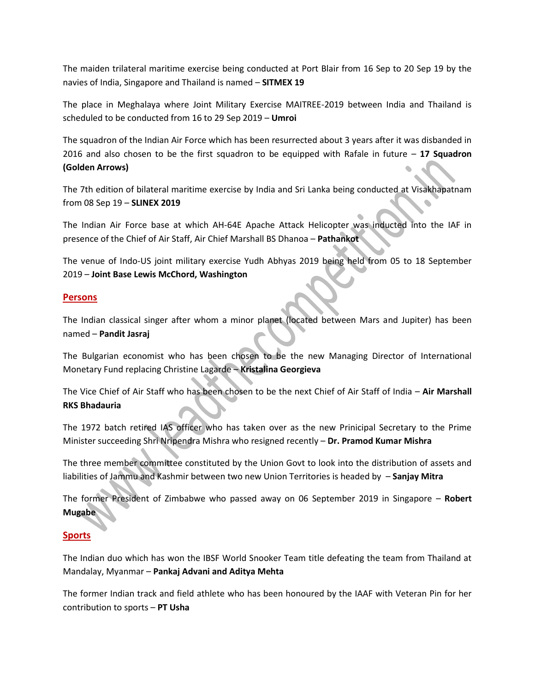The maiden trilateral maritime exercise being conducted at Port Blair from 16 Sep to 20 Sep 19 by the navies of India, Singapore and Thailand is named – **SITMEX 19**

The place in Meghalaya where Joint Military Exercise MAITREE-2019 between India and Thailand is scheduled to be conducted from 16 to 29 Sep 2019 – **Umroi**

The squadron of the Indian Air Force which has been resurrected about 3 years after it was disbanded in 2016 and also chosen to be the first squadron to be equipped with Rafale in future – **17 Squadron (Golden Arrows)**

The 7th edition of bilateral maritime exercise by India and Sri Lanka being conducted at Visakhapatnam from 08 Sep 19 – **SLINEX 2019**

The Indian Air Force base at which AH-64E Apache Attack Helicopter was inducted into the IAF in presence of the Chief of Air Staff, Air Chief Marshall BS Dhanoa – **Pathankot** 

The venue of Indo-US joint military exercise Yudh Abhyas 2019 being held from 05 to 18 September 2019 – **Joint Base Lewis McChord, Washington** 

#### **Persons**

The Indian classical singer after whom a minor planet (located between Mars and Jupiter) has been named – **Pandit Jasraj**

The Bulgarian economist who has been chosen to be the new Managing Director of International Monetary Fund replacing Christine Lagarde – **Kristalina Georgieva**

The Vice Chief of Air Staff who has been chosen to be the next Chief of Air Staff of India – **Air Marshall RKS Bhadauria**

The 1972 batch retired IAS officer who has taken over as the new Prinicipal Secretary to the Prime Minister succeeding Shri Nripendra Mishra who resigned recently – **Dr. Pramod Kumar Mishra**

The three member committee constituted by the Union Govt to look into the distribution of assets and liabilities of Jammu and Kashmir between two new Union Territories is headed by – **Sanjay Mitra**

The former President of Zimbabwe who passed away on 06 September 2019 in Singapore – **Robert Mugabe**

#### **Sports**

The Indian duo which has won the IBSF World Snooker Team title defeating the team from Thailand at Mandalay, Myanmar – **Pankaj Advani and Aditya Mehta**

The former Indian track and field athlete who has been honoured by the IAAF with Veteran Pin for her contribution to sports – **PT Usha**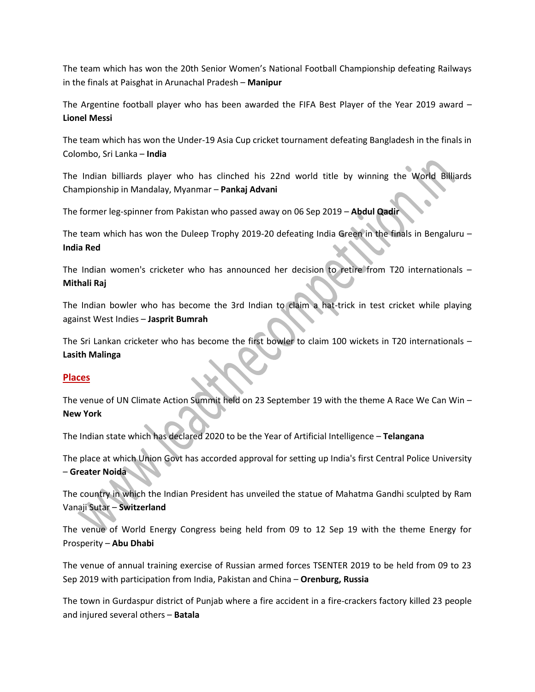The team which has won the 20th Senior Women's National Football Championship defeating Railways in the finals at Paisghat in Arunachal Pradesh – **Manipur**

The Argentine football player who has been awarded the FIFA Best Player of the Year 2019 award – **Lionel Messi**

The team which has won the Under-19 Asia Cup cricket tournament defeating Bangladesh in the finals in Colombo, Sri Lanka – **India**

The Indian billiards player who has clinched his 22nd world title by winning the World Billiards Championship in Mandalay, Myanmar – **Pankaj Advani**

The former leg-spinner from Pakistan who passed away on 06 Sep 2019 – **Abdul Qadir**

The team which has won the Duleep Trophy 2019-20 defeating India Green in the finals in Bengaluru – **India Red**

The Indian women's cricketer who has announced her decision to retire from T20 internationals – **Mithali Raj** 

The Indian bowler who has become the 3rd Indian to claim a hat-trick in test cricket while playing against West Indies – **Jasprit Bumrah** 

The Sri Lankan cricketer who has become the first bowler to claim 100 wickets in T20 internationals – **Lasith Malinga**

## **Places**

The venue of UN Climate Action Summit held on 23 September 19 with the theme A Race We Can Win – **New York**

The Indian state which has declared 2020 to be the Year of Artificial Intelligence – **Telangana**

The place at which Union Govt has accorded approval for setting up India's first Central Police University – **Greater Noida**

The country in which the Indian President has unveiled the statue of Mahatma Gandhi sculpted by Ram Vanaji Sutar – **Switzerland**

The venue of World Energy Congress being held from 09 to 12 Sep 19 with the theme Energy for Prosperity – **Abu Dhabi**

The venue of annual training exercise of Russian armed forces TSENTER 2019 to be held from 09 to 23 Sep 2019 with participation from India, Pakistan and China – **Orenburg, Russia**

The town in Gurdaspur district of Punjab where a fire accident in a fire-crackers factory killed 23 people and injured several others – **Batala**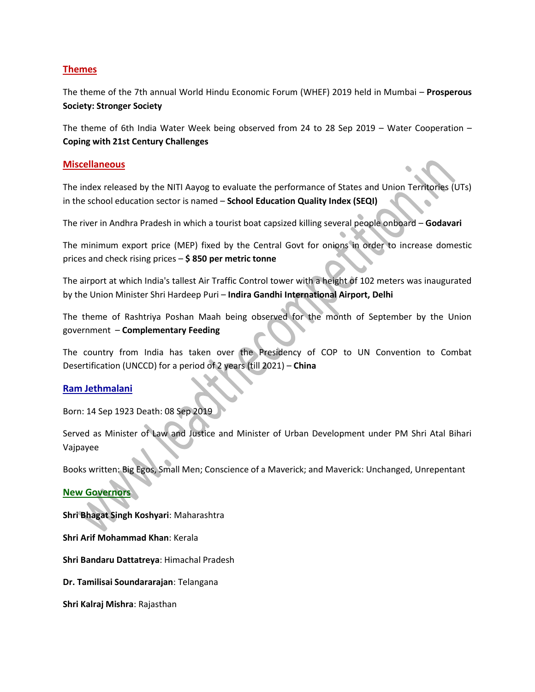## **Themes**

The theme of the 7th annual World Hindu Economic Forum (WHEF) 2019 held in Mumbai – **Prosperous Society: Stronger Society**

The theme of 6th India Water Week being observed from 24 to 28 Sep 2019 – Water Cooperation – **Coping with 21st Century Challenges**

#### **Miscellaneous**

The index released by the NITI Aayog to evaluate the performance of States and Union Territories (UTs) in the school education sector is named – **School Education Quality Index (SEQI)**

The river in Andhra Pradesh in which a tourist boat capsized killing several people onboard – **Godavari**

The minimum export price (MEP) fixed by the Central Govt for onions in order to increase domestic prices and check rising prices – **\$ 850 per metric tonne**

The airport at which India's tallest Air Traffic Control tower with a height of 102 meters was inaugurated by the Union Minister Shri Hardeep Puri – **Indira Gandhi International Airport, Delhi**

The theme of Rashtriya Poshan Maah being observed for the month of September by the Union government – **Complementary Feeding** 

The country from India has taken over the Presidency of COP to UN Convention to Combat Desertification (UNCCD) for a period of 2 years (till 2021) – **China** 

#### **Ram Jethmalani**

Born: 14 Sep 1923 Death: 08 Sep 2019

Served as Minister of Law and Justice and Minister of Urban Development under PM Shri Atal Bihari Vajpayee

Books written: Big Egos, Small Men; Conscience of a Maverick; and Maverick: Unchanged, Unrepentant

#### **New Governors**

**Shri Bhagat Singh Koshyari**: Maharashtra

**Shri Arif Mohammad Khan**: Kerala

**Shri Bandaru Dattatreya**: Himachal Pradesh

**Dr. Tamilisai Soundararajan**: Telangana

**Shri Kalraj Mishra**: Rajasthan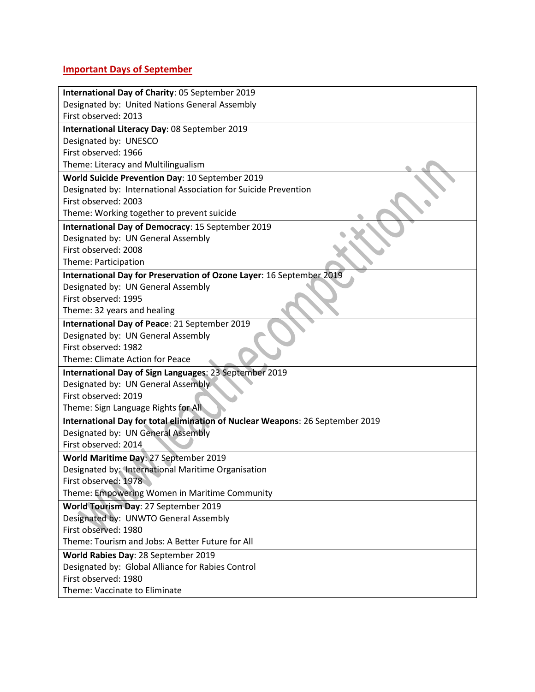# **Important Days of September**

| International Day of Charity: 05 September 2019                               |  |  |
|-------------------------------------------------------------------------------|--|--|
| Designated by: United Nations General Assembly                                |  |  |
| First observed: 2013                                                          |  |  |
| International Literacy Day: 08 September 2019                                 |  |  |
| Designated by: UNESCO                                                         |  |  |
| First observed: 1966                                                          |  |  |
| Theme: Literacy and Multilingualism                                           |  |  |
| World Suicide Prevention Day: 10 September 2019                               |  |  |
| Designated by: International Association for Suicide Prevention               |  |  |
| First observed: 2003                                                          |  |  |
| Theme: Working together to prevent suicide                                    |  |  |
| International Day of Democracy: 15 September 2019                             |  |  |
| Designated by: UN General Assembly                                            |  |  |
| First observed: 2008                                                          |  |  |
| Theme: Participation                                                          |  |  |
| International Day for Preservation of Ozone Layer: 16 September 2019          |  |  |
| Designated by: UN General Assembly                                            |  |  |
| First observed: 1995                                                          |  |  |
| Theme: 32 years and healing                                                   |  |  |
| International Day of Peace: 21 September 2019                                 |  |  |
| Designated by: UN General Assembly                                            |  |  |
| First observed: 1982                                                          |  |  |
| <b>Theme: Climate Action for Peace</b>                                        |  |  |
| International Day of Sign Languages: 23 September 2019                        |  |  |
| Designated by: UN General Assembly                                            |  |  |
| First observed: 2019                                                          |  |  |
| Theme: Sign Language Rights for All                                           |  |  |
| International Day for total elimination of Nuclear Weapons: 26 September 2019 |  |  |
| Designated by: UN General Assembly                                            |  |  |
| First observed: 2014                                                          |  |  |
| World Maritime Day: 27 September 2019                                         |  |  |
| Designated by: International Maritime Organisation                            |  |  |
| First observed: 1978                                                          |  |  |
| Theme: Empowering Women in Maritime Community                                 |  |  |
| World Tourism Day: 27 September 2019                                          |  |  |
| Designated by: UNWTO General Assembly                                         |  |  |
| First observed: 1980                                                          |  |  |
| Theme: Tourism and Jobs: A Better Future for All                              |  |  |
| World Rabies Day: 28 September 2019                                           |  |  |
| Designated by: Global Alliance for Rabies Control                             |  |  |
| First observed: 1980                                                          |  |  |
| Theme: Vaccinate to Eliminate                                                 |  |  |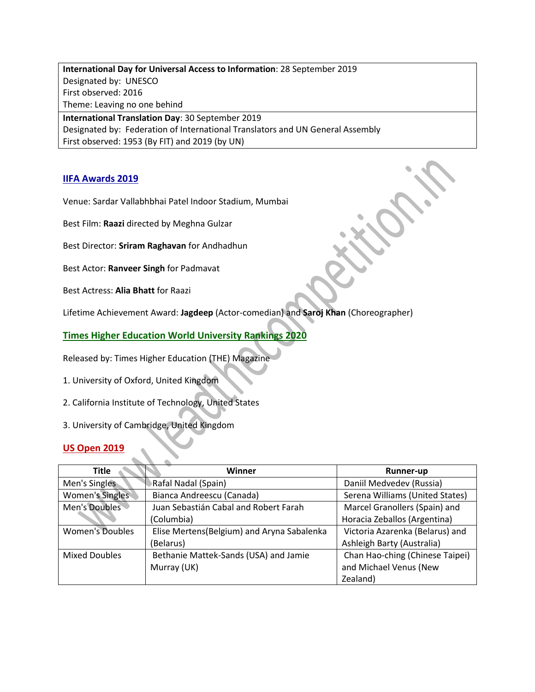**International Day for Universal Access to Information**: 28 September 2019 Designated by: UNESCO First observed: 2016 Theme: Leaving no one behind

**International Translation Day**: 30 September 2019 Designated by: Federation of International Translators and UN General Assembly First observed: 1953 (By FIT) and 2019 (by UN)

## **IIFA Awards 2019**

Venue: Sardar Vallabhbhai Patel Indoor Stadium, Mumbai

Best Film: **Raazi** directed by Meghna Gulzar

Best Director: **Sriram Raghavan** for Andhadhun

Best Actor: **Ranveer Singh** for Padmavat

Best Actress: **Alia Bhatt** for Raazi

Lifetime Achievement Award: **Jagdeep** (Actor-comedian) and **Saroj Khan** (Choreographer)

**Times Higher Education World University Rankings 2020**

Released by: Times Higher Education (THE) Magazine

- 1. University of Oxford, United Kingdom
- 2. California Institute of Technology, United States
- 3. University of Cambridge, United Kingdom

## **US Open 2019**

| <b>Title</b>           | Winner                                     | Runner-up                       |
|------------------------|--------------------------------------------|---------------------------------|
| Men's Singles          | Rafal Nadal (Spain)                        | Daniil Medvedev (Russia)        |
| Women's Singles        | Bianca Andreescu (Canada)                  | Serena Williams (United States) |
| Men's Doubles          | Juan Sebastián Cabal and Robert Farah      | Marcel Granollers (Spain) and   |
|                        | (Columbia)                                 | Horacia Zeballos (Argentina)    |
| <b>Women's Doubles</b> | Elise Mertens(Belgium) and Aryna Sabalenka | Victoria Azarenka (Belarus) and |
|                        | (Belarus)                                  | Ashleigh Barty (Australia)      |
| <b>Mixed Doubles</b>   | Bethanie Mattek-Sands (USA) and Jamie      | Chan Hao-ching (Chinese Taipei) |
|                        | Murray (UK)                                | and Michael Venus (New          |
|                        |                                            | Zealand)                        |